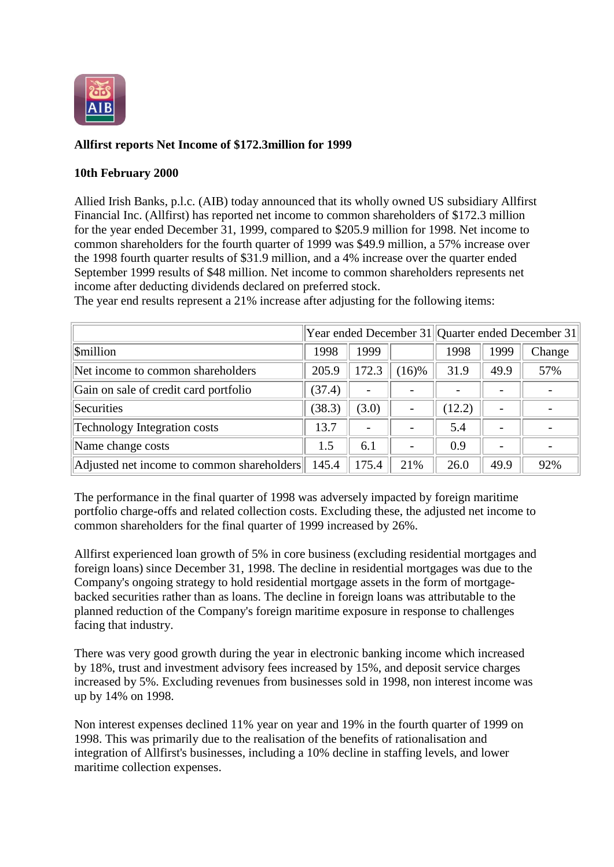

## **Allfirst reports Net Income of \$172.3million for 1999**

## **10th February 2000**

Allied Irish Banks, p.l.c. (AIB) today announced that its wholly owned US subsidiary Allfirst Financial Inc. (Allfirst) has reported net income to common shareholders of \$172.3 million for the year ended December 31, 1999, compared to \$205.9 million for 1998. Net income to common shareholders for the fourth quarter of 1999 was \$49.9 million, a 57% increase over the 1998 fourth quarter results of \$31.9 million, and a 4% increase over the quarter ended September 1999 results of \$48 million. Net income to common shareholders represents net income after deducting dividends declared on preferred stock.

|                                            |        |                          |          | Year ended December 31 Quarter ended December 31 |      |        |
|--------------------------------------------|--------|--------------------------|----------|--------------------------------------------------|------|--------|
| <b>Smillion</b>                            | 1998   | 1999                     |          | 1998                                             | 1999 | Change |
| Net income to common shareholders          | 205.9  | 172.3                    | $(16)$ % | 31.9                                             | 49.9 | 57%    |
| Gain on sale of credit card portfolio      | (37.4) | $\overline{\phantom{a}}$ |          | $\overline{\phantom{a}}$                         |      |        |
| Securities                                 | (38.3) | (3.0)                    |          | (12.2)                                           |      |        |
| <b>Technology Integration costs</b>        | 13.7   | $\overline{\phantom{a}}$ |          | 5.4                                              |      |        |
| Name change costs                          | 1.5    | 6.1                      |          | 0.9                                              |      |        |
| Adjusted net income to common shareholders | 145.4  | 175.4                    | 21%      | 26.0                                             | 49.9 | 92%    |

The year end results represent a 21% increase after adjusting for the following items:

The performance in the final quarter of 1998 was adversely impacted by foreign maritime portfolio charge-offs and related collection costs. Excluding these, the adjusted net income to common shareholders for the final quarter of 1999 increased by 26%.

Allfirst experienced loan growth of 5% in core business (excluding residential mortgages and foreign loans) since December 31, 1998. The decline in residential mortgages was due to the Company's ongoing strategy to hold residential mortgage assets in the form of mortgagebacked securities rather than as loans. The decline in foreign loans was attributable to the planned reduction of the Company's foreign maritime exposure in response to challenges facing that industry.

There was very good growth during the year in electronic banking income which increased by 18%, trust and investment advisory fees increased by 15%, and deposit service charges increased by 5%. Excluding revenues from businesses sold in 1998, non interest income was up by 14% on 1998.

Non interest expenses declined 11% year on year and 19% in the fourth quarter of 1999 on 1998. This was primarily due to the realisation of the benefits of rationalisation and integration of Allfirst's businesses, including a 10% decline in staffing levels, and lower maritime collection expenses.